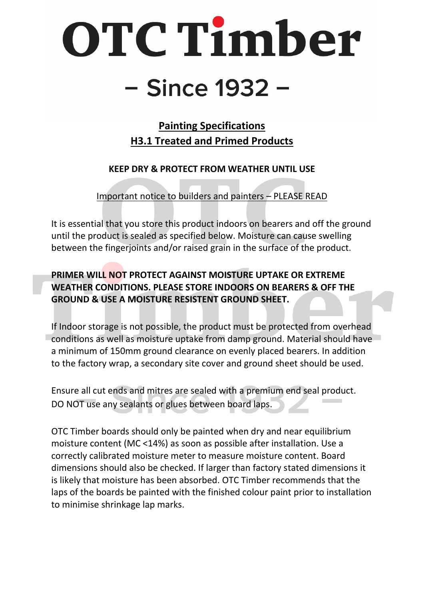## OTC Timber - Since 1932 -

**Painting Specifications H3.1 Treated and Primed Products**

**KEEP DRY & PROTECT FROM WEATHER UNTIL USE**

Important notice to builders and painters – PLEASE READ

It is essential that you store this product indoors on bearers and off the ground until the product is sealed as specified below. Moisture can cause swelling between the fingerjoints and/or raised grain in the surface of the product.

**PRIMER WILL NOT PROTECT AGAINST MOISTURE UPTAKE OR EXTREME WEATHER CONDITIONS. PLEASE STORE INDOORS ON BEARERS & OFF THE GROUND & USE A MOISTURE RESISTENT GROUND SHEET.** 

If Indoor storage is not possible, the product must be protected from overhead conditions as well as moisture uptake from damp ground. Material should have a minimum of 150mm ground clearance on evenly placed bearers. In addition to the factory wrap, a secondary site cover and ground sheet should be used.

Ensure all cut ends and mitres are sealed with a premium end seal product. DO NOT use any sealants or glues between board laps.

OTC Timber boards should only be painted when dry and near equilibrium moisture content (MC <14%) as soon as possible after installation. Use a correctly calibrated moisture meter to measure moisture content. Board dimensions should also be checked. If larger than factory stated dimensions it is likely that moisture has been absorbed. OTC Timber recommends that the laps of the boards be painted with the finished colour paint prior to installation to minimise shrinkage lap marks.